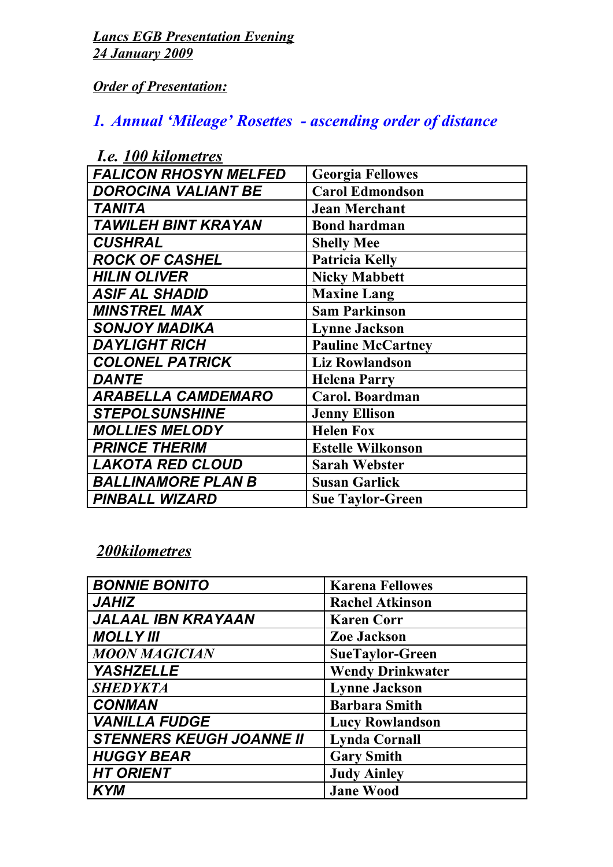*Lancs EGB Presentation Evening 24 January 2009*

*Order of Presentation:*

## *1. Annual 'Mileage' Rosettes - ascending order of distance*

| <b>Georgia Fellowes</b>  |
|--------------------------|
| <b>Carol Edmondson</b>   |
| <b>Jean Merchant</b>     |
| <b>Bond hardman</b>      |
| <b>Shelly Mee</b>        |
| Patricia Kelly           |
| <b>Nicky Mabbett</b>     |
| <b>Maxine Lang</b>       |
| <b>Sam Parkinson</b>     |
| <b>Lynne Jackson</b>     |
| <b>Pauline McCartney</b> |
| <b>Liz Rowlandson</b>    |
| <b>Helena Parry</b>      |
| Carol. Boardman          |
| <b>Jenny Ellison</b>     |
| <b>Helen Fox</b>         |
| <b>Estelle Wilkonson</b> |
| <b>Sarah Webster</b>     |
| <b>Susan Garlick</b>     |
| <b>Sue Taylor-Green</b>  |
|                          |

## *I.e. 100 kilometres*

## *200kilometres*

| <b>BONNIE BONITO</b>            | <b>Karena Fellowes</b>  |
|---------------------------------|-------------------------|
| <b>JAHIZ</b>                    | <b>Rachel Atkinson</b>  |
| <b>JALAAL IBN KRAYAAN</b>       | <b>Karen Corr</b>       |
| <b>MOLLY III</b>                | <b>Zoe Jackson</b>      |
| <b>MOON MAGICIAN</b>            | <b>SueTaylor-Green</b>  |
| <b>YASHZELLE</b>                | <b>Wendy Drinkwater</b> |
| <b>SHEDYKTA</b>                 | <b>Lynne Jackson</b>    |
| <b>CONMAN</b>                   | <b>Barbara Smith</b>    |
| <b>VANILLA FUDGE</b>            | <b>Lucy Rowlandson</b>  |
| <b>STENNERS KEUGH JOANNE II</b> | <b>Lynda Cornall</b>    |
| <b>HUGGY BEAR</b>               | <b>Gary Smith</b>       |
| <b>HT ORIENT</b>                | <b>Judy Ainley</b>      |
| <b>KYM</b>                      | <b>Jane Wood</b>        |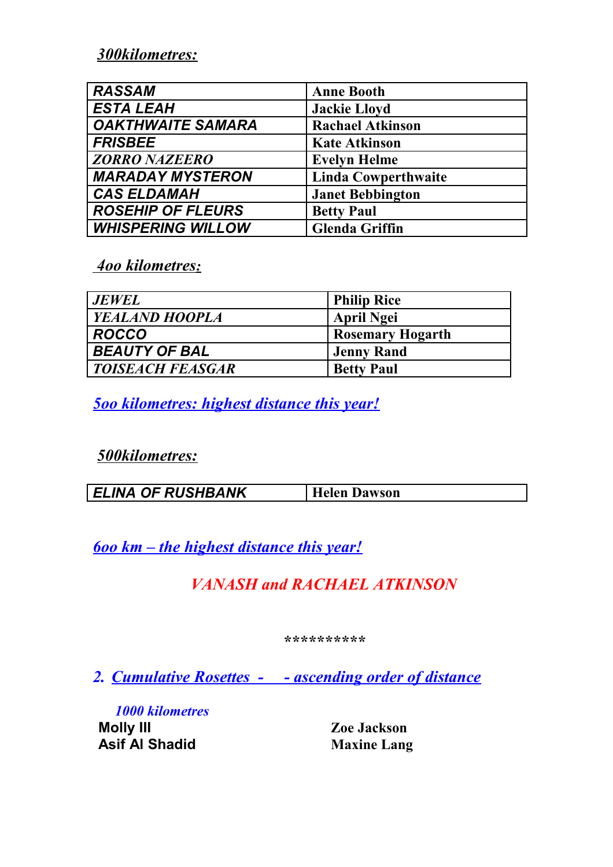*300kilometres:*

| <b>RASSAM</b>            | <b>Anne Booth</b>          |
|--------------------------|----------------------------|
| <b>ESTA LEAH</b>         | <b>Jackie Lloyd</b>        |
| <b>OAKTHWAITE SAMARA</b> | <b>Rachael Atkinson</b>    |
| <b>FRISBEE</b>           | <b>Kate Atkinson</b>       |
| <b>ZORRO NAZEERO</b>     | <b>Evelyn Helme</b>        |
| <b>MARADAY MYSTERON</b>  | <b>Linda Cowperthwaite</b> |
| <b>CAS ELDAMAH</b>       | <b>Janet Bebbington</b>    |
| <b>ROSEHIP OF FLEURS</b> | <b>Betty Paul</b>          |
| <b>WHISPERING WILLOW</b> | <b>Glenda Griffin</b>      |

 *4oo kilometres:*

| JEWEL                   | <b>Philip Rice</b>      |
|-------------------------|-------------------------|
| <i>YEALAND HOOPLA</i>   | <b>April Ngei</b>       |
| ROCCO !                 | <b>Rosemary Hogarth</b> |
| <b>BEAUTY OF BAL</b>    | <b>Jenny Rand</b>       |
| <i>TOISEACH FEASGAR</i> | <b>Betty Paul</b>       |

*5oo kilometres: highest distance this year!*

*500kilometres:*

| <b>ELINA OF RUSHBANK</b> | Dawson |
|--------------------------|--------|
|--------------------------|--------|

*6oo km – the highest distance this year!*

*VANASH and RACHAEL ATKINSON*

*\*\*\*\*\*\*\*\*\*\**

*2. Cumulative Rosettes - - ascending order of distance*

*1000 kilometres* **Asif Al Shadid Maxine Lang**

**Zoe Jackson**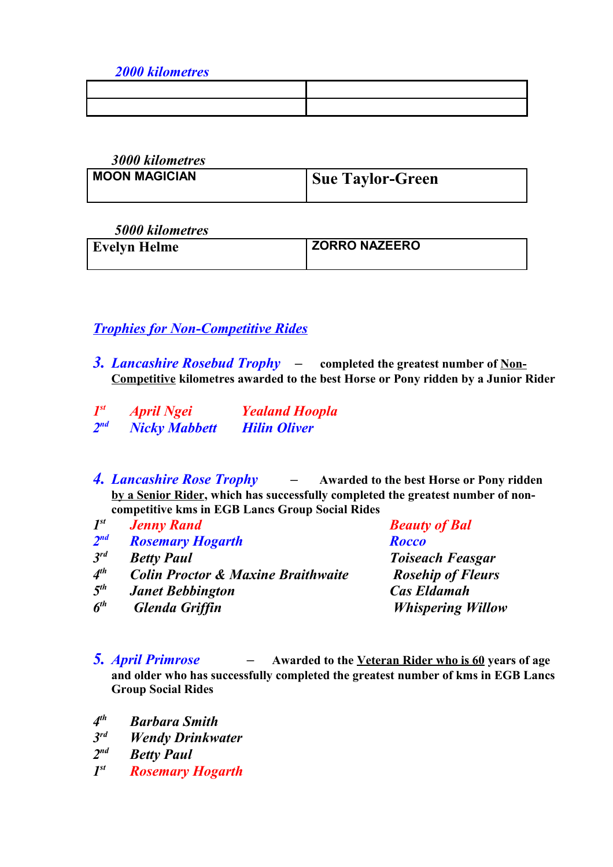*2000 kilometres*

*3000 kilometres*

| .                    |                         |
|----------------------|-------------------------|
| <b>MOON MAGICIAN</b> | <b>Sue Taylor-Green</b> |
|                      |                         |

 *5000 kilometres*

| <b>Evelyn Helme</b> | <b>ZORRO NAZEERO</b> |
|---------------------|----------------------|
|                     |                      |

*Trophies for Non-Competitive Rides*

- *3. Lancashire Rosebud Trophy* **completed the greatest number of Non-Competitive kilometres awarded to the best Horse or Pony ridden by a Junior Rider**
- *1 st April Ngei Yealand Hoopla*  $2<sub>nd</sub>$ *Nicky Mabbett* Hilin Oliver
- *4. Lancashire Rose Trophy* **Awarded to the best Horse or Pony ridden by a Senior Rider, which has successfully completed the greatest number of noncompetitive kms in EGB Lancs Group Social Rides**
- *1 st Jenny Rand Beauty of Bal*  $2<sup>nd</sup>$ *nd Rosemary Hogarth Rocco 3 Retty Paul rotation rotational <b><i>rotational Toiseach Feasgar 4 Colin Proctor & Maxine Braithwaite* Rosehip of Fleurs *5 th Janet Bebbington Cas Eldamah 6 Glenda Griffin* Whispering Willow
- *5. April Primrose* **Awarded to the Veteran Rider who is 60 years of age and older who has successfully completed the greatest number of kms in EGB Lancs Group Social Rides**
- *4 th Barbara Smith*
- *3 Wendy Drinkwater*
- $2<sup>nd</sup>$ *Betty Paul*
- *1* **Rosemary Hogarth**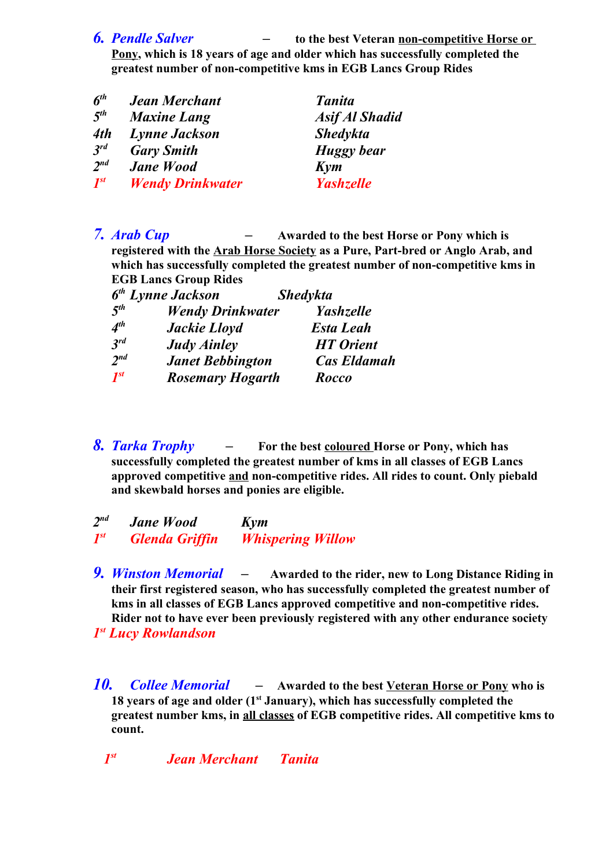*6. Pendle Salver –* **to the best Veteran non-competitive Horse or** 

**Pony, which is 18 years of age and older which has successfully completed the greatest number of non-competitive kms in EGB Lancs Group Rides**

| $6^{th}$        | <b>Jean Merchant</b>    | <b>Tanita</b>         |
|-----------------|-------------------------|-----------------------|
| $5^{th}$        | <b>Maxine Lang</b>      | <b>Asif Al Shadid</b> |
| 4th             | <b>Lynne Jackson</b>    | <b>Shedykta</b>       |
| 3 <sup>rd</sup> | <b>Gary Smith</b>       | <b>Huggy</b> bear     |
| $2^{nd}$        | <b>Jane Wood</b>        | Kym                   |
| $I^{st}$        | <b>Wendy Drinkwater</b> | <b>Yashzelle</b>      |

*7. Arab Cup –* **Awarded to the best Horse or Pony which is registered with the Arab Horse Society as a Pure, Part-bred or Anglo Arab, and which has successfully completed the greatest number of non-competitive kms in EGB Lancs Group Rides**  $6<sup>th</sup>$   $\overrightarrow{I}$ 

|                 | 6 <sup>th</sup> Lynne Jackson | <b>Shedykta</b>    |
|-----------------|-------------------------------|--------------------|
| 5 <sup>th</sup> | <b>Wendy Drinkwater</b>       | <b>Yashzelle</b>   |
| A <sup>th</sup> | <b>Jackie Lloyd</b>           | <b>Esta Leah</b>   |
| $3^{rd}$        | <b>Judy Ainley</b>            | <b>HT</b> Orient   |
| 2 <sup>nd</sup> | <b>Janet Bebbington</b>       | <b>Cas Eldamah</b> |
| $I^{st}$        | <b>Rosemary Hogarth</b>       | Rocco              |

*8. Tarka Trophy –* **For the best coloured Horse or Pony, which has successfully completed the greatest number of kms in all classes of EGB Lancs approved competitive and non-competitive rides. All rides to count. Only piebald and skewbald horses and ponies are eligible.**

 $2<sup>nd</sup>$ *nd Jane Wood Kym 1 st Glenda Griffin Whispering Willow*

- *9. Winston Memorial* **Awarded to the rider, new to Long Distance Riding in their first registered season, who has successfully completed the greatest number of kms in all classes of EGB Lancs approved competitive and non-competitive rides. Rider not to have ever been previously registered with any other endurance society**  *1 st Lucy Rowlandson*
- *10. Collee Memorial* **Awarded to the best Veteran Horse or Pony who is 18 years of age and older (1st January), which has successfully completed the greatest number kms, in all classes of EGB competitive rides. All competitive kms to count.**

 *1st Jean Merchant Tanita*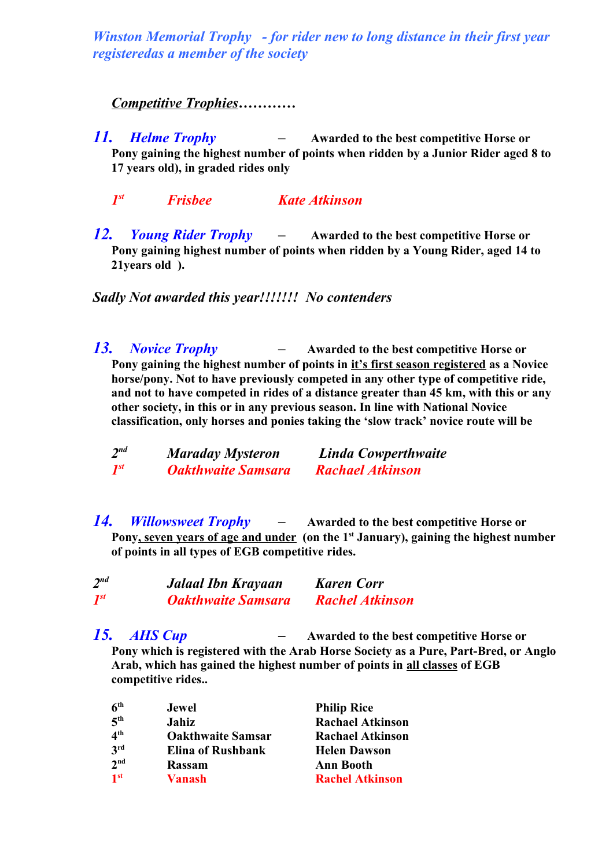*Winston Memorial Trophy - for rider new to long distance in their first year registeredas a member of the society*

## *Competitive Trophies…………*

- *11. Helme Trophy* **Awarded to the best competitive Horse or Pony gaining the highest number of points when ridden by a Junior Rider aged 8 to 17 years old), in graded rides only**
	- *1 st Frisbee Kate Atkinson*
- *12. Young Rider Trophy* **Awarded to the best competitive Horse or Pony gaining highest number of points when ridden by a Young Rider, aged 14 to 21years old ).**

*Sadly Not awarded this year!!!!!!! No contenders*

*13. Novice Trophy –* **Awarded to the best competitive Horse or Pony gaining the highest number of points in it's first season registered as a Novice horse/pony. Not to have previously competed in any other type of competitive ride, and not to have competed in rides of a distance greater than 45 km, with this or any other society, in this or in any previous season. In line with National Novice classification, only horses and ponies taking the 'slow track' novice route will be** 

| $2^{nd}$ | <b>Maraday Mysteron</b>   | Linda Cowperthwaite     |
|----------|---------------------------|-------------------------|
| $I^{st}$ | <b>Oakthwaite Samsara</b> | <b>Rachael Atkinson</b> |

*14. Willowsweet Trophy –* **Awarded to the best competitive Horse or Pony, seven years of age and under (on the 1st January), gaining the highest number of points in all types of EGB competitive rides.** 

| $2^{nd}$                           | Jalaal Ibn Krayaan        | <b>Karen Corr</b>      |
|------------------------------------|---------------------------|------------------------|
| $\boldsymbol{l}^{\boldsymbol{st}}$ | <b>Oakthwaite Samsara</b> | <b>Rachel Atkinson</b> |

*15. AHS Cup –* **Awarded to the best competitive Horse or Pony which is registered with the Arab Horse Society as a Pure, Part-Bred, or Anglo Arab, which has gained the highest number of points in all classes of EGB competitive rides..** 

| 6 <sup>th</sup> | <b>Jewel</b>             | <b>Philip Rice</b>      |
|-----------------|--------------------------|-------------------------|
| 5 <sup>th</sup> | Jahiz                    | <b>Rachael Atkinson</b> |
| 4 <sup>th</sup> | <b>Oakthwaite Samsar</b> | <b>Rachael Atkinson</b> |
| 3 <sup>rd</sup> | <b>Elina of Rushbank</b> | <b>Helen Dawson</b>     |
| 2 <sup>nd</sup> | <b>Rassam</b>            | <b>Ann Booth</b>        |
| 1 <sup>st</sup> | Vanash                   | <b>Rachel Atkinson</b>  |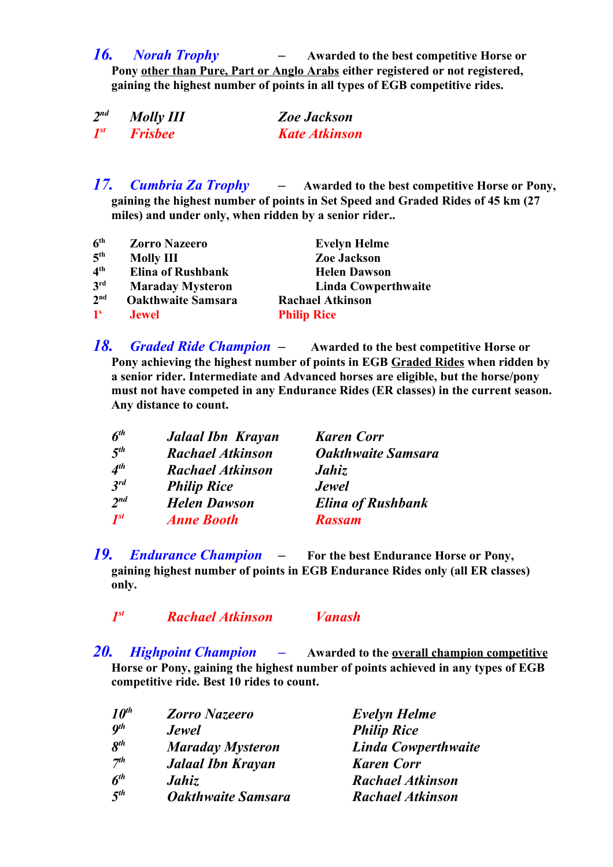*16. Norah Trophy –* **Awarded to the best competitive Horse or Pony other than Pure, Part or Anglo Arabs either registered or not registered, gaining the highest number of points in all types of EGB competitive rides.** 

| $2^{nd}$ | <b>Molly III</b> | <b>Zoe Jackson</b>   |
|----------|------------------|----------------------|
| $I^{st}$ | <b>Frisbee</b>   | <b>Kate Atkinson</b> |

*17. Cumbria Za Trophy –* **Awarded to the best competitive Horse or Pony, gaining the highest number of points in Set Speed and Graded Rides of 45 km (27 miles) and under only, when ridden by a senior rider..**

| 6 <sup>th</sup> | <b>Zorro Nazeero</b>      | <b>Evelyn Helme</b>        |
|-----------------|---------------------------|----------------------------|
| 5 <sup>th</sup> | <b>Molly III</b>          | <b>Zoe Jackson</b>         |
| 4 <sup>th</sup> | <b>Elina of Rushbank</b>  | <b>Helen Dawson</b>        |
| 3 <sup>rd</sup> | <b>Maraday Mysteron</b>   | <b>Linda Cowperthwaite</b> |
| 2 <sup>nd</sup> | <b>Oakthwaite Samsara</b> | <b>Rachael Atkinson</b>    |
| 1 <sup>s</sup>  | <b>Jewel</b>              | <b>Philip Rice</b>         |

*18. Graded Ride Champion –* **Awarded to the best competitive Horse or Pony achieving the highest number of points in EGB Graded Rides when ridden by a senior rider. Intermediate and Advanced horses are eligible, but the horse/pony must not have competed in any Endurance Rides (ER classes) in the current season. Any distance to count.**

| $6^{th}$ | <b>Jalaal Ibn Krayan</b> | <b>Karen Corr</b>         |
|----------|--------------------------|---------------------------|
| $5^{th}$ | <b>Rachael Atkinson</b>  | <b>Oakthwaite Samsara</b> |
| $4^{th}$ | <b>Rachael Atkinson</b>  | Jahiz                     |
| $3^{rd}$ | <b>Philip Rice</b>       | <b>Jewel</b>              |
| $2^{nd}$ | <b>Helen Dawson</b>      | <b>Elina of Rushbank</b>  |
| $I^{st}$ | <b>Anne Booth</b>        | <b>Rassam</b>             |

*19. Endurance Champion –* **For the best Endurance Horse or Pony, gaining highest number of points in EGB Endurance Rides only (all ER classes) only.** 

*1 st Rachael Atkinson Vanash*

*20. Highpoint Champion –* **Awarded to the overall champion competitive Horse or Pony, gaining the highest number of points achieved in any types of EGB competitive ride. Best 10 rides to count.**

| $10^{th}$       | <b>Zorro Nazeero</b>      | <b>Evelyn Helme</b>        |
|-----------------|---------------------------|----------------------------|
| $q^{th}$        | <b>Jewel</b>              | <b>Philip Rice</b>         |
| $8^{th}$        | <b>Maraday Mysteron</b>   | <b>Linda Cowperthwaite</b> |
| 7 <sup>th</sup> | <b>Jalaal Ibn Krayan</b>  | <b>Karen Corr</b>          |
| $6^{th}$        | Jahiz                     | <b>Rachael Atkinson</b>    |
| $5^{th}$        | <b>Oakthwaite Samsara</b> | <b>Rachael Atkinson</b>    |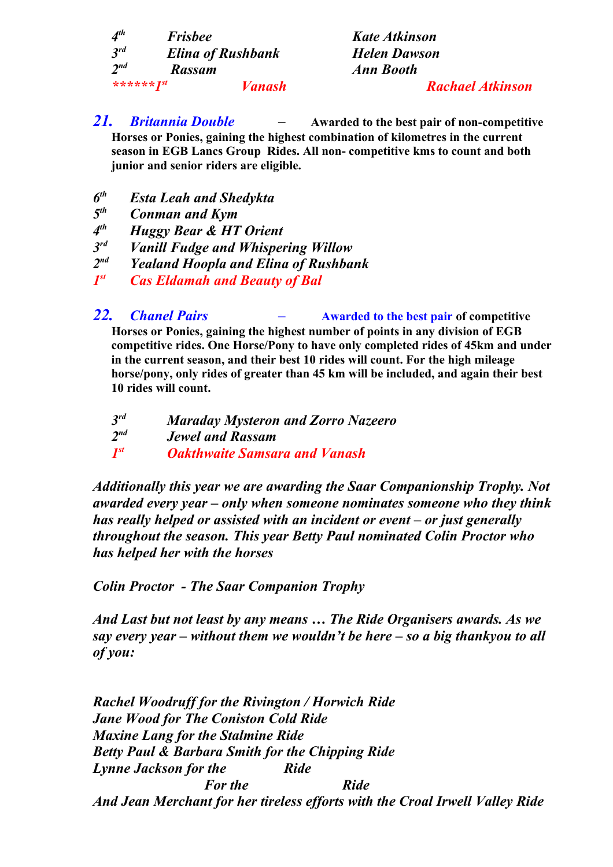| $4^{th}$          | <b>Frisbee</b>           |               |
|-------------------|--------------------------|---------------|
| $3^{rd}$          | <b>Elina of Rushbank</b> |               |
| $2^{nd}$          | Rassam                   |               |
| ****** <i>Ist</i> |                          | <b>Vanash</b> |

*th Frisbee Kate Atkinson rd Elina of Rushbank Helen Dawson nd Rassam Ann Booth*

- *\*\*\*\*\*\*1st Vanash Rachael Atkinson*
- *21. Britannia Double* **Awarded to the best pair of non-competitive Horses or Ponies, gaining the highest combination of kilometres in the current season in EGB Lancs Group Rides. All non- competitive kms to count and both junior and senior riders are eligible.**
- *6 Esta Leah and Shedykta*
- *5 Conman and Kym*
- *4 th Huggy Bear & HT Orient*
- *3 <i>Vanill Fudge and Whispering Willow*
- *2 Yealand Hoopla and Elina of Rushbank*
- *1 Cas Eldamah and Beauty of Bal*
- *22. Chanel Pairs* **Awarded to the best pair of competitive Horses or Ponies, gaining the highest number of points in any division of EGB competitive rides. One Horse/Pony to have only completed rides of 45km and under in the current season, and their best 10 rides will count. For the high mileage horse/pony, only rides of greater than 45 km will be included, and again their best 10 rides will count.**
	- *3 Maraday Mysteron and Zorro Nazeero 2 nd Jewel and Rassam 1 <u>Oakthwaite</u> Samsara and Vanash*

*Additionally this year we are awarding the Saar Companionship Trophy. Not awarded every year – only when someone nominates someone who they think has really helped or assisted with an incident or event – or just generally throughout the season. This year Betty Paul nominated Colin Proctor who has helped her with the horses*

*Colin Proctor - The Saar Companion Trophy*

*And Last but not least by any means … The Ride Organisers awards. As we say every year – without them we wouldn't be here – so a big thankyou to all of you:*

*Rachel Woodruff for the Rivington / Horwich Ride Jane Wood for The Coniston Cold Ride Maxine Lang for the Stalmine Ride Betty Paul & Barbara Smith for the Chipping Ride Lynne Jackson for the Ride For the* Ride *And Jean Merchant for her tireless efforts with the Croal Irwell Valley Ride*